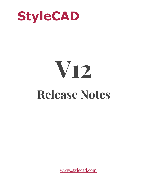

# **V12 Release Notes**

[www.stylecad.co](http://www.stylecad.com/)m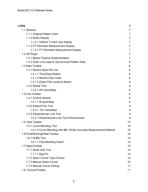| 1.PDS                                                               | $\overline{7}$ |
|---------------------------------------------------------------------|----------------|
| 1.1 General                                                         | $\overline{7}$ |
| 1.1.1 Original Pattern Color                                        | 7              |
| 1.1.2 Notch Display                                                 | 7              |
| 1.1.2.1 Default T-notch size display                                | $\overline{7}$ |
| 1.1.3 F7 Perimeter Measurement Display                              | 7              |
| 1.1.3.1 F7 Perimeter Measurement Display                            | 7              |
| 1.2 3D Plugin                                                       | 7              |
| 1.2.1 Bezier Polyline Implementation                                | $\overline{7}$ |
| 1.2.2 Grain Line used to Synchronize Pattern Data                   | 8              |
| 1.3 Main Toolbar                                                    | 8              |
| 1.3.1 Recent Style File List                                        | 8              |
| 1.3.1.1 The [Clear] Button                                          | 8              |
| 1.3.1.2 Recent Files Order                                          | 8              |
| 1.3.1.3 [Open File Location] Button                                 | 8              |
| 1.3.2 Rotate Tool                                                   | 8              |
| 1.3.2.1 DH QuickStep                                                | 8              |
| 1.4 Line Toolbar                                                    | 9              |
| 1.4.1 Control Section                                               | 9              |
| 1.4.1.1 M quickStep                                                 | 9              |
| 1.4.2 Extend/Trim Tool                                              | 9              |
| 1.4.2.1 'En' Quickstep                                              | 9              |
| 1.4.3 Perpendicular Line Tool                                       | 9              |
| 1.4.2.1 Perpendicular Line Tool Enhancement                         | 9              |
| 1.5. Dart Toolbar                                                   | 10             |
| 1.5.1 Curve Blending Tool                                           | 10             |
| 1.5.1.2 Curve Blending with BB1 [Enter Accurate Measurement] Method | 10             |
| 1.6 Pivot/Shirring/Pleat Toolbar                                    | 10             |
| 1.6.1 Ruffle Tool                                                   | 10             |
| 1.6.1.1 Fast Blending Option                                        | 10             |
| 1.7 SeamToolbar                                                     | 10             |
| 1.7.1 Seam Edit Tool                                                | 10             |
| 1.7.1.1 Bug Fix                                                     | 10             |
| 1.7.2 Seam Corner Type Control                                      | 10             |
| 1.7.3 Manual Seam Corner                                            | 10             |
| 1.7.4 Manual Corner Editing                                         | 11             |
| 1.8. Cut/JoinToolbar                                                | 11             |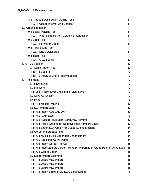| 1.8.1 Protrude Outline/Trim Outline Tools                                      | 11 |
|--------------------------------------------------------------------------------|----|
| 1.8.1.1 Closed Internal Line Shapes                                            | 11 |
| 1.9 GraphicsToolbar                                                            | 11 |
| 1.9.1 Bezier Polyline Tool                                                     | 11 |
| 1.9.1.1 # for distance from Guideline Intersection                             | 11 |
| 1.9.2 Circle Tool                                                              | 11 |
| 1.9.2.1 Perimeter Option                                                       | 11 |
| 1.9.3 Parallel Line Tool                                                       | 11 |
| 1.9.3.1 DE20 QuickStep                                                         | 11 |
| 1.9.4 Trace Tool                                                               | 11 |
| 1.9.4.1 C QuickStep                                                            | 12 |
| 1.10 PDS Toolbar                                                               | 12 |
| 1.10.1 Scale Pattern Tool                                                      | 12 |
| 1.10.1.1 Bug Fix                                                               | 12 |
| 1.10.1.2 [Apply to Entire Pattern] option                                      | 12 |
| 1.11 File Menu                                                                 | 12 |
| 1.11.1 [New Style]                                                             | 12 |
| 1.11.2 File Save                                                               | 12 |
| 1.11.2.1 A New Error Checking in Style Save                                    | 12 |
| 1.11.3 Save As function                                                        | 12 |
| 1.11.4 Print                                                                   | 13 |
| 1.11.4.1 Mosaic Printing                                                       | 13 |
| 1.11.5 DXF Import/Export                                                       | 13 |
| 1.11.5.1 Import AutoCAD DXF                                                    | 13 |
| 1.11.5.2 DXF Export                                                            | 13 |
| 1.11.5.3 Autocad, Illustrator, CorelDraw Formats                               | 13 |
| 1.11.5.4 [Flip Y Grading for Negative Rule Number] Option                      | 13 |
| 1.11.5.5 Export DXF Option for Cuttec Cutting Machine                          | 14 |
| 1.11.6 Gerber Import/Exporting                                                 | 14 |
| 1.11.6.1 Multiple Size List Import Enhancement                                 | 14 |
| 1.11.6.2 Additional Curve Points                                               | 14 |
| 1.11.6.3 Import Gerber TMP/ZIP                                                 | 15 |
| 1.11.6.4 Import/Export Gerber TMP/ZIP - Importing of Grade Rule for Annotation | 15 |
| 1.11.6.5 Gerber Export                                                         | 15 |
| 1.11.7 Lectra Import/Exporting                                                 | 15 |
| 1.11.7.1 Lectra MDL Import                                                     | 15 |
| 1.11.7.2 Lectra MDL Import                                                     | 15 |
| 1.11.7.3 Lectra MDL Import                                                     | 15 |
| 1.11.7.3 Import Lectra MDL [DX/DY Flip Setting]                                | 16 |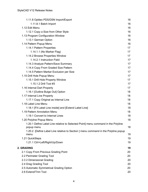| 1.11.8 Optitex PDS/DSN Import/Export                                                            | 16 |
|-------------------------------------------------------------------------------------------------|----|
| 1.11.8.1 Batch Import                                                                           | 16 |
| 1.12 Edit Menu                                                                                  | 16 |
| 1.12.1 Copy a Size from Other Style                                                             | 16 |
| 1.13 Program Configuration Window                                                               | 16 |
| 1.13.1 German Option                                                                            | 16 |
| 1.14 Pattern Popup Menu                                                                         | 16 |
| 1.14.1 Pattern Properties                                                                       | 17 |
| 1.14.1.1 (No Marker Flag)                                                                       | 17 |
| 1.14.2 Browse Properties Window                                                                 | 17 |
| 1.14.2.1 Instruction Field                                                                      | 17 |
| 1.14.3 Analyze Pattern/Save Summary                                                             | 17 |
| 1.14.4 Copy From Graded Size Pattern                                                            | 17 |
| 1.14.5 Pattern Marker Exclusion per Size                                                        | 17 |
| 1.15 Drill Hole Popup Menu                                                                      | 17 |
| 1.15.1 Drill Hole Property Window                                                               | 17 |
| 1.15.1.2 Drill Tool #3                                                                          | 17 |
| 1.16 Internal Dart Property                                                                     | 17 |
| 1.16.1 [Outline Bulge Out] Option                                                               | 18 |
| 1.17 Internal Line Property                                                                     | 18 |
| 1.17.1 Copy Original as Internal Line                                                           | 18 |
| 1.18 Label Line Menu                                                                            | 18 |
| 1.18.1 [Fit Label Line inside] and [Extend Label Line]                                          | 18 |
| 1.19 Pattern Annotation Menu                                                                    | 18 |
| 1.19.1 Convert to Internal Lines                                                                | 18 |
| 1.20 Polyline Popup Menu                                                                        | 18 |
| 1.20.1 Define Label Line relative to Selected Point] menu command in the Polyline<br>popup menu | 18 |
| 1.20.2 [Define Label Line relative to Section ] menu command in the Polyline popup              |    |
| menu                                                                                            | 19 |
| 1.21 QuickSteps                                                                                 | 19 |
| 1.21.1 Ctrl+Left/Right/Up/Down                                                                  | 19 |
|                                                                                                 |    |
| 2. GRADING                                                                                      | 19 |
| 2.1 Copy From Previous Grading Point                                                            | 20 |
| 2.2 Perimeter Grading Tool                                                                      | 20 |
| 2.3 2 Dimensional Grading                                                                       | 20 |
| 2.4 Drag Grading Tool                                                                           | 20 |
| 2.5 Automatic Symmetrical Grading Option                                                        | 20 |
| 2.6 Extend/Trim Tool                                                                            | 20 |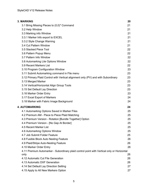| <b>3. MARKING</b>                                                                                  | 20 |
|----------------------------------------------------------------------------------------------------|----|
| 3.1 Bring Missing Pieces to (0,0)" Command                                                         | 21 |
| 3.2 Help Window                                                                                    | 21 |
| 3.3 Marking info Window                                                                            | 21 |
| 3.3.1 Marker Info export to EXCEL                                                                  | 21 |
| 3.3.2 Style Change Warning                                                                         | 21 |
| 3.4 Cut Pattern Window                                                                             | 21 |
| 3.5 Stacked Piece Tool                                                                             | 22 |
| 3.6 Pattern Popup Menu                                                                             | 22 |
| 3.7 Pattern Info Window                                                                            | 22 |
| 3.8 Automarking Lite Options Window                                                                | 22 |
| 3.9 Recent Markers List                                                                            | 22 |
| 3.10 Program Configuration Window                                                                  | 23 |
| 3.11 Submit Automarking command in File menu                                                       | 23 |
| 3.12 Primary Plaid Control with Vertical alignment only (PV) and with Subordinary                  | 23 |
| 3.13 Merged Marker                                                                                 | 23 |
| 3.14 Vertical/Horizontal Align Group Tools                                                         | 23 |
| 3.15 Set Default Lay Direction                                                                     | 23 |
| 3.16 Marker Order Entry                                                                            | 23 |
| 3.17 Excel Export of Markers                                                                       | 24 |
| 3.18 Marker with Fabric Image Background                                                           | 24 |
| <b>4. AUTOMARKING</b>                                                                              | 24 |
| 4.1 Automarking Options Saved in Marker Files                                                      | 25 |
| 4.2 Premium AM - Piece to Piece Plaid Matching                                                     | 25 |
| 4.3 Premium Version - Rotation [Bundle Together] Option                                            | 25 |
| 4.4 Premium Version - [No Gap At Border]                                                           | 25 |
| 4.5 Recent Marker List                                                                             | 25 |
| 4.6 Automarking Options Window                                                                     | 25 |
| 4.7 Job Submit Folder Feature                                                                      | 25 |
| 4.8 Fusible Block Auto Nesting Feature                                                             | 26 |
| 4.9 Plaid/Stripe Auto-Nesting Feature                                                              | 26 |
| 4.10 Marker Order Entry                                                                            | 26 |
| 4.11 Premium Automarker - Subordinary plaid control point with Vertical only or Horizontal<br>only | 26 |
| 4.12 Automatic Cut File Generation                                                                 | 26 |
| 4.13 Automatic DXF Generation                                                                      | 26 |
| 4.14 Set Default Lay Direction Setting                                                             | 27 |
| 4.15 Apply to All New Markers Option                                                               | 27 |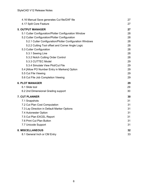| 4.16 Manual Save generates Cut file/DXF file             | 27 |
|----------------------------------------------------------|----|
| 4.17 Split Core Feature                                  | 27 |
| <b>5. OUTPUT MANAGER</b>                                 | 27 |
| 5.1 Cutter Configuration/Plotter Configuration Window    | 28 |
| 5.2 Cutter Configuration/Plotter Configuration           | 28 |
| 5.2.1 Cutter Configuration/Plotter Configuration Windows | 28 |
| 5.2.2 Cutting Tool offset and Corner Angle Logic         | 28 |
| 5.3 Cutter Configuration                                 | 28 |
| 5.3.1 Sewing Line                                        | 28 |
| 5.3.2 Notch Cutting Order Control                        | 28 |
| 5.3.3 CUTTEC Model                                       | 29 |
| 5.3.4 Simulate View Plot/Cut File                        | 29 |
| 5.4 [Allow PO Number Entry in Markers] Option            | 29 |
| 5.5 Cut File Viewing                                     | 29 |
| 5.6 Cut File Job Completion Viewing                      | 29 |
| <b>6. PLOT MANAGER</b>                                   | 29 |
| 6.1 Slide tool                                           | 29 |
| 6.2 2nd Dimensional Grading support                      | 30 |
| <b>7. CUT PLANNER</b>                                    | 30 |
| 7.1 Snapshots                                            | 31 |
| 7.2 Cut Plan Cost Computation                            | 31 |
| 7.3 Lay Direction in Default Marker Options              | 31 |
| 7.4 Autonester Option                                    | 31 |
| 7.5 Cut Plan EXCEL Report                                | 31 |
| 7.6 Print Cut Plan Button                                | 31 |
| 7.7 Unicode Support                                      | 31 |
| <b>8. MISCELLANEOUS</b>                                  | 32 |
| 8.1 General Inch or CM Entry                             | 33 |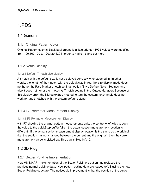# <span id="page-6-0"></span>1.PDS

## <span id="page-6-1"></span>1.1 General

#### <span id="page-6-2"></span>1.1.1 Original Pattern Color

Original Pattern color in Black background is a little brighter. RGB values were modified from 100,100,100 to 120,120,120 in order to make it stand out more.

#### <span id="page-6-3"></span>1.1.2 Notch Display

#### <span id="page-6-4"></span>1.1.2.1 Default T-notch size display

A t-notch with the default size is not displayed correctly when zoomed in. In other words, the length of the t-notch with the default size in real life size display mode does not honor the [Use Marker t-notch settings] option [Style Default Notch Settings] and also it does not honor the I-notch vs T-notch setting in the Output Manager. Because of this display error, the NM quickStep method to turn the custom notch angle does not work for any t-notches with the system default setting.

#### <span id="page-6-5"></span>1.1.3 F7 Perimeter Measurement Display

#### <span id="page-6-6"></span>1.1.3.1 F7 Perimeter Measurement Display

with F7 showing the original pattern measurements only, the control + left click to copy the value to the quickStep buffer fails if the actual section measurement location is different. If the actual section measurement display location is the same as the original (i.e. the section has not changed between the current and the original), then the current measurement value is picked up. This bug is fixed in V12.

## <span id="page-6-7"></span>1.2 3D Plugin

#### <span id="page-6-8"></span>1.2.1 Bezier Polyline Implementation

New VS 8.0 API implementation of the Bezier Polyline creation has replaced the previous normal polyline data. Now pattern outline data are loaded to VS using the new Bezier Polyline structure. The noticeable improvement is that the position of the curve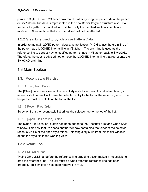points in StyleCAD and VStitcher now match. After syncing the pattern data, the pattern outline/internal line data is represented in the new Bezier Polyline structure also. If a section of a pattern is modified in VStitcher, only the modified section's points are modified. Other sections that are unmodified will not be affected.

#### <span id="page-7-0"></span>1.2.2 Grain Line used to Synchronize Pattern Data

In order to maintain 2D/3D pattern data synchronization, V12 displays the grain line of the pattern as a LOCKED internal line in VStitcher. The grain line is used as the reference line to correctly sync modified pattern shape in VStitcher back to StyleCAD. Therefore, the user is advised not to move the LOCKED internal line that represents the StyleCAD grain line.

## <span id="page-7-1"></span>1.3 Main Toolbar

#### <span id="page-7-2"></span>1.3.1 Recent Style File List

#### <span id="page-7-3"></span>1.3.1.1 The [Clear] Button

The [Clear] button removes all the recent style file list entries. Also double clicking a recent style to open it will move the selected entry to the top of the recent style list. This keeps the most recent file at the top of the list.

#### <span id="page-7-4"></span>1.3.1.2 Recent Files Order

Selection from the recent style list brings the selection up to the top of the list.

#### <span id="page-7-5"></span>1.3.1.3 [Open File Location] Button

The [Open File Location] button has been added to the Recent file list and Open Style window. This new feature opens another window containing the folder of the selected recent style file or the open style folder. Selecting a style file from this folder window opens the style file in the working view.

#### <span id="page-7-6"></span>1.3.2 Rotate Tool

#### <span id="page-7-7"></span>1.3.2.1 DH QuickStep

Typing DH quickStep before the reference line dragging action makes it impossible to drag the reference line. The DH must be typed after the reference line has been dragged. This limitation has been removed in V12.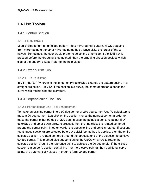## <span id="page-8-0"></span>1.4 Line Toolbar

#### <span id="page-8-1"></span>1.4.1 Control Section

#### <span id="page-8-2"></span>1.4.1.1 M quickStep

M quickStep to turn an unfolded pattern into a mirrored half pattern. M QS dragging from mirror point to the other mirror point method always picks the larger of the 2 halves. Sometimes, the user would prefer to select the other side. If the TAB key is pressed before the dragging is completed, then the dragging direction decides which side of the pattern is kept. Refer to the help video.

#### <span id="page-8-3"></span>1.4.2 Extend/Trim Tool

#### <span id="page-8-4"></span>1.4.2.1 'En' Quickstep

In V11, the 'En' (where n is the length entry) quickStep extends the pattern outline in a straight projection. In V12, if the section is a curve, the same operation extends the curve while maintaining the curvature.

#### <span id="page-8-5"></span>1.4.3 Perpendicular Line Tool

#### <span id="page-8-6"></span>1.4.2.1 Perpendicular Line Tool Enhancement

To make an existing corner into a 90 deg corner or 270 deg corner. Use 'A' quickStep to make a 90 deg corner. Left click on the section moves the nearest corner in order to make the corner either 90 deg or 270 deg (in case the point is a concave point). If 'A' quickStep and up or down arrow is pressed, then the line clicked is rotated centered around the corner point. In other words, the opposite line end point is rotated. If sections (continuous sections) are selected before A quickStep method is applied, then the entire selected section is rotated centered around the opposite end of the selection to achieve 90 deg corner. This method also supports using the Up/Down arrow to rotate the selected section around the reference point to achieve the 90 deg angle. If the clicked section is a curve (a section containing 1 or more curve points), then additional curve points are automatically placed in order to form 90 deg corner.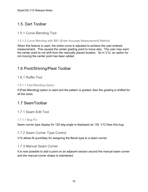## <span id="page-9-0"></span>1.5. Dart Toolbar

#### <span id="page-9-1"></span>1.5.1 Curve Blending Tool

#### <span id="page-9-2"></span>1.5.1.2 Curve Blending with BB1 [Enter Accurate Measurement] Method

When this feature is used, the entire curve is adjusted to achieve the user entered measurement. This caused the center grading point to move also. The user may want the center point to not shift from the manually placed location. So in V12, an option for not moving the center point has been added.

## <span id="page-9-3"></span>1.6 Pivot/Shirring/Pleat Toolbar

#### <span id="page-9-4"></span>1.6.1 Ruffle Tool

#### <span id="page-9-5"></span>1.6.1.1 Fast Blending Option

If [Fast Blending] option is used and the pattern is graded, then the grading is shifted for all the sizes.

## <span id="page-9-6"></span>1.7 SeamToolbar

#### <span id="page-9-7"></span>1.7.1 Seam Edit Tool

#### <span id="page-9-8"></span>1.7.1.1 Bug Fix

<span id="page-9-9"></span>Seam corner type display for 120 deg angle is displayed as 135. V12 fixes this bug.

#### 1.7.2 Seam Corner Type Control

<span id="page-9-10"></span>V12 allows B quickStep for assigning the Bevel type to a seam corner.

#### 1.7.3 Manual Seam Corner

It is now possible to add a point on an adjacent section around the manual seam corner and the manual corner shape is maintained.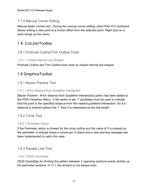## <span id="page-10-0"></span>1.7.4 Manual Corner Editing

Manual Seam Corner tool - During the manual corner editing, [Add Point XY] command allows adding a new point at a known offset from the selected point. Right click on a point brings up the menu.

## <span id="page-10-1"></span>1.8. Cut/JoinToolbar

#### <span id="page-10-2"></span>1.8.1 Protrude Outline/Trim Outline Tools

#### <span id="page-10-3"></span>1.8.1.1 Closed Internal Line Shapes

<span id="page-10-4"></span>Protrude Outline and Trim Outline tools work on closed internal line shapes.

## 1.9 GraphicsToolbar

#### <span id="page-10-5"></span>1.9.1 Bezier Polyline Tool

#### <span id="page-10-6"></span>1.9.1.1 I# for distance from Guideline Intersection

[Bezier Polyline - I# for distance from Guideline Intersection] option has been added to the PDS->Graphics Menu. If the option is set, 'I' quickStep must be used to indicate that the point is the specified distance from the nearest guideline intersection. So if a distance is entered without the 'I', then it is interpreted as the line length.

#### <span id="page-10-7"></span>1.9.2 Circle Tool

#### <span id="page-10-8"></span>1.9.2.1 Perimeter Option

If the Perimeter option is chosen for the circle outline and the value of 0 is entered as the perimeter, a strange shape is produced. A check and a new warning message has been implemented to catch this case.

#### <span id="page-10-9"></span>1.9.3 Parallel Line Tool

#### <span id="page-10-10"></span>1.9.3.1 DE20 QuickStep

DE20 QuickStep for dividing the pattern between 2 opposing sections evenly divides up the perimeter sections. In V11, the division is not always even.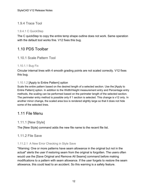#### <span id="page-11-0"></span>1.9.4 Trace Tool

#### <span id="page-11-1"></span>1.9.4.1 C QuickStep

The C quickStep to copy the entire temp shape outline does not work. Same operation with the default tool works fine. V12 fixes this bug.

## <span id="page-11-2"></span>1.10 PDS Toolbar

#### <span id="page-11-3"></span>1.10.1 Scale Pattern Tool

#### <span id="page-11-4"></span>1.10.1.1 Bug Fix

Circular internal lines with 4 smooth grading points are not scaled correctly. V12 fixes this bug.

#### <span id="page-11-5"></span>1.10.1.2 [Apply to Entire Pattern] option

Scale the entire pattern based on the desired length of a selected section. Use the [Apply to Entire Pattern] option. In addition to the Width/Height measurement entry and Percentage entry methods, the scaling can be performed based on the perimeter length of the selected section. The perimeter entry method is possible only if 1 section is selected. This change is v12 only. In another minor change, the scaled area box is rendered slightly large so that it does not hide some of the selected lines.

## <span id="page-11-6"></span>1.11 File Menu

#### <span id="page-11-7"></span>1.11.1 [New Style]

<span id="page-11-8"></span>The [New Style] command adds the new file name to the recent file list.

#### 1.11.2 File Save

#### <span id="page-11-9"></span>1.11.2.1 A New Error Checking in Style Save

"Warning: One or more patterns have seam allowance in the original but not in the actual" alerts the user if restoring seam from the original is forgotten. The users often would use the [Save Original and Remove All Seams] command before making modifications to a pattern with seam allowance. If the user forgets to restore the seam allowance, this could lead to an accident. So this warning is a safety feature.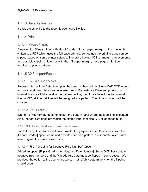#### <span id="page-12-0"></span>1.11.3 Save As function

<span id="page-12-1"></span>It adds the style file to the recently open style file list.

#### 1.11.4 Print

#### <span id="page-12-2"></span>1.11.4.1 Mosaic Printing

A new option [Mosaic Print with Margin] adds 1/2 inch paper margin. If the printing is written to a PDF which uses the full page printing, sometimes the printing edge can be clipped based on some printer settings. Therefore having 1/2 inch margin can overcome any possible clipping. Note that with the 1/2 paper margin, more pages might be required to print a pattern.

#### <span id="page-12-3"></span>1.11.5 DXF Import/Export

#### <span id="page-12-4"></span>1.11.5.1 Import AutoCAD DXF

Process Internal Line Detection option has been enhanced.. V11 AutoCAD DXF import routine sometimes misses some internal lines. For instance if two end points of an internal line are slightly outside the pattern outline, then it fails to include the internal line. In V12, all internal lines will be assigned to a pattern. The closest pattern will be chosen.

#### <span id="page-12-5"></span>1.11.5.2 DXF Export

[Same As Plot Format] does not export the pattern label where the label line is located. Also, the font size does not match the plotted label font size. V12 fixed these bugs.

#### <span id="page-12-6"></span>1.11.5.3 Autocad, Illustrator, CorelDraw Formats

For Autocad, Illustrator, CorelDraw formats, the [Layer for each Size] option with the [Export Graded] option combined exports each size pattern in a separate layer. Each layer is given the name of each size.

#### <span id="page-12-7"></span>1.11.5.4 [Flip Y Grading for Negative Rule Number] Option

Added an option [Flip Y Grading for Negative Rule Number]. Some DXF files contain negative rule numbers and the Y grade rule data must be flipped in some cases. We provided the option to the user since we can not reliably determine when the flipping should occur.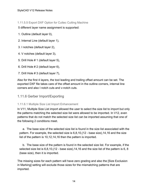<span id="page-13-0"></span>1.11.5.5 Export DXF Option for Cuttec Cutting Machine

5 different layer name assignment is supported:

- 1. Outline (default layer 0),
- 2. Internal Line (default layer 1),
- 3. I notches (default layer 2),
- 4. V notches (default layer 3),
- 5. Drill Hole # 1 (default layer 5),
- 6. Drill Hole # 2 (default layer 6),
- 7. Drill Hole # 3 (default layer 7),

Also for the first 4 layers, the tool leading and trailing offset amount can be set. The exported DXF file takes care of the offset amount in the outline corners, internal line corners and also I notch cuts and v-notch cuts.

#### <span id="page-13-1"></span>1.11.6 Gerber Import/Exporting

#### <span id="page-13-2"></span>1.11.6.1 Multiple Size List Import Enhancement

In V11, Multiple Size List import allowed the user to select the size list to import but only the patterns matching the selected size list were allowed to be imported. In V12, even patterns that do not match the selected size list can be imported assuming that one of the following 2 conditions meet.

 a. The base size of the selected size list is found in the size list associated with the pattern. For example, the selected size is 6,8,10,(12 - base size),14,16 and the size list of the pattern is 10,12,14,16 then the pattern is imported.

 b. The base size of the pattern is found in the selected size list. For example, if the selected size list is 6,8,10,(12 - base size),14,16 and the size list of the pattern is 6, 8 (base size), then it is imported.

The missing sizes for each pattern will have zero grading and also the [Size Exclusion in Marking] setting will exclude those sizes for the mismatching patterns that are imported.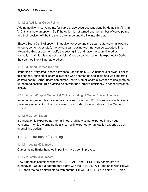#### <span id="page-14-0"></span>1.11.6.2 Additional Curve Points

Adding additional curve points for curve shape accuracy was done by default in V11. In V12, this is now an option. So if the option is not turned on, the number of curve points and their position will be the same after importing the file into Gerber.

[Export Seam Outline] option - In addition to exporting the seam data (seam allowance amount, corner types etc.), the actual seam outline (cut line) can be exported. This allows the Gerber user to modify the sewing line and have the seam line adjust normally. In V11, this was not possible. Once a seamed pattern is exported to Gerber, the seam outline will not auto-adjust.

#### <span id="page-14-1"></span>1.11.6.3 Import Gerber TMP/ZIP

 importing of very small seam allowance (for example 0.002 inches) is allowed. Prior to this change, such small seam allowance was deemed as negligible and was imported as zero seam. Gerber users sometimes use very small seam allowance to designate an un-seamed section. This practice helps with the Gerber's deficiency in seam allowance display.

#### <span id="page-14-2"></span>1.11.6.4 Import/Export Gerber TMP/ZIP - Importing of Grade Rule for Annotation

Importing of grade rules for annotations is supported in V12. This feature was lacking in previous versions. Also the grade rule ID is included for annotations in the Gerber Export.

#### <span id="page-14-3"></span>1.11.6.5 Gerber Export

If annotation is exported as internal lines, grading was not exported in previous versions. In V12, the grading data is correctly exported for annotation exported as an internal line option.

#### <span id="page-14-4"></span>1.11.7 Lectra Import/Exporting

#### <span id="page-14-5"></span>1.11.7.1 Lectra MDL Import

Curves using Bezier handles importing have been improved.

#### <span id="page-14-6"></span>1.11.7.2 Lectra MDL Import

Now it handles situations where PIECE START and PIECE END constructs are interleaved. Usually a pattern data starts with the PIECE START and ends with PIECE END then the next pattern starts with another PIECE START. But in some MDL files,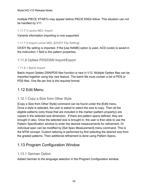multiple PIECE STARTs may appear before PIECE ENDs follow. This situation can not be handled by V11.

#### <span id="page-15-0"></span>1.11.7.3 Lectra MDL Import

Variants information importing is now supported.

#### <span id="page-15-1"></span>1.11.7.3 Import Lectra MDL [DX/DY Flip Setting]

DX/DY flip setting is imported. If the [use NAME] option is used, ACD (code) is saved in the Instruction 1 field in the pattern properties.

#### <span id="page-15-2"></span>1.11.8 Optitex PDS/DSN Import/Export

#### <span id="page-15-3"></span>1.11.8.1 Batch Import

Batch Import Optitex DSN/PDS files function is new in V12. Multiple Optitex files can be imported together using this new feature. The batch file must contain a list of PDS or PDS files. One file per line is the required format.

## <span id="page-15-4"></span>1.12 Edit Menu

#### <span id="page-15-5"></span>1.12.1 Copy a Size from Other Style

[Copy a Size from Other Style] command can be found under the [Edit] menu. Once a style is selected, the user is asked to select the size to copy. Then all the eligible patterns (only those that are included in the marker (pattern property)) are copied in the selected size dimension. If there are pattern specs defined, they are brought in also. Once the selected size is brought in, the user is then able to use the Pattern Specification window to enter the desired measurements for refinement. Or individual spec can be modified by [Set Spec Measurement] menu command. This is the MTM concept: Custom tailoring is performed by first selecting the desired size from the graded patterns. Then additional refinement is done using Pattern Specs.

## <span id="page-15-6"></span>1.13 Program Configuration Window

#### <span id="page-15-7"></span>1.13.1 German Option

Added German to the language selection in the Program Configuration window.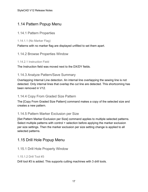## <span id="page-16-0"></span>1.14 Pattern Popup Menu

#### <span id="page-16-1"></span>1.14.1 Pattern Properties

<span id="page-16-2"></span>1.14.1.1 (No Marker Flag)

<span id="page-16-3"></span>Patterns with no marker flag are displayed unfilled to set them apart.

#### 1.14.2 Browse Properties Window

#### <span id="page-16-4"></span>1.14.2.1 Instruction Field

<span id="page-16-5"></span>The Instruction field was moved next to the DX/DY fields.

#### 1.14.3 Analyze Pattern/Save Summary

Overlapping Internal Line detection. An internal line overlapping the sewing line is not detected. Only internal lines that overlap the cut line are detected. This shortcoming has been removed in V12.

#### <span id="page-16-6"></span>1.14.4 Copy From Graded Size Pattern

The [Copy From Graded Size Pattern] command makes a copy of the selected size and creates a new pattern.

#### <span id="page-16-7"></span>1.14.5 Pattern Marker Exclusion per Size

[Set Pattern Marker Exclusion per Size] command applies to multiple selected patterns. Select multiple patterns with control + selection before applying the marker exclusion per size settings. Then the marker exclusion per size setting change is applied to all selected patterns.

## <span id="page-16-8"></span>1.15 Drill Hole Popup Menu

#### <span id="page-16-9"></span>1.15.1 Drill Hole Property Window

#### <span id="page-16-10"></span>1.15.1.2 Drill Tool #3

Drill tool #3 is added. This supports cutting machines with 3 drill tools.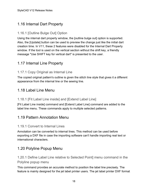## <span id="page-17-0"></span>1.16 Internal Dart Property

## <span id="page-17-1"></span>1.16.1 [Outline Bulge Out] Option

Using the internal dart property window, the [outline bulge out] option is supported. Also, the [Update] button can be used to preview the change just like the initial dart creation time. In V11, these 2 features were disabled for the Internal Dart Property window. If the tool is used on the vertical section without the shift key, a friendly message "Use SHIFT key for vertical dart" is presented to the user.

## <span id="page-17-2"></span>1.17 Internal Line Property

## <span id="page-17-3"></span>1.17.1 Copy Original as Internal Line

The copied original pattern's outline is given the stitch line style that gives it a different appearance from the internal line or the sewing line.

## <span id="page-17-4"></span>1.18 Label Line Menu

#### <span id="page-17-5"></span>1.18.1 [Fit Label Line inside] and [Extend Label Line]

[Fit Label Line inside] command and [Extend Label Line] command are added to the label line menu. These commands apply to multiple selected patterns.

## <span id="page-17-6"></span>1.19 Pattern Annotation Menu

#### <span id="page-17-7"></span>1.19.1 Convert to Internal Lines

Annotation can be converted to internal lines. This method can be used before exporting a DXF file in case the importing software can't handle importing real text or international characters.

## <span id="page-17-8"></span>1.20 Polyline Popup Menu

<span id="page-17-9"></span>1.20.1 Define Label Line relative to Selected Point] menu command in the Polyline popup menu

This command provides an accurate method to position the label line precisely. The feature is mainly designed for the jet label printer users. The jet label printer DXF format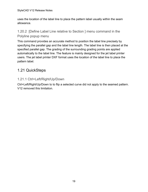uses the location of the label line to place the pattern label usually within the seam allowance.

## <span id="page-18-0"></span>1.20.2 [Define Label Line relative to Section ] menu command in the Polyline popup menu

This command provides an accurate method to position the label line precisely by specifying the parallel gap and the label line length. The label line is then placed at the specified parallel gap. The grading of the surrounding grading points are applied automatically to the label line. The feature is mainly designed for the jet label printer users. The jet label printer DXF format uses the location of the label line to place the pattern label.

## <span id="page-18-1"></span>1.21 QuickSteps

## <span id="page-18-2"></span>1.21.1 Ctrl+Left/Right/Up/Down

Ctrl+Left/Right/Up/Down to to flip a selected curve did not apply to the seamed pattern. V12 removed this limitation.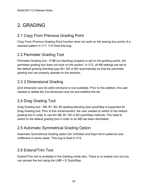# <span id="page-19-0"></span>2. GRADING

## <span id="page-19-1"></span>2.1 Copy From Previous Grading Point

Copy From Previous Grading Point function does not work on the sewing line points of a seamed pattern in V11. V12 fixed this bug.

## <span id="page-19-2"></span>2.2 Perimeter Grading Tool

Perimeter Grading tool - If NB (no blending) property is set on the grading points, the perimeter grading tool does not work on the section. In V12, all NB settings are set to the default grading blending type (B1, B2 or B3) automatically so that the perimeter grading tool can properly operate on the sections.

## <span id="page-19-3"></span>2.3 2 Dimensional Grading

[2nd dimension size list edit] command is now available. Prior to this addition, the user needed to delete the 2nd dimension size list and redefine the list.

## <span id="page-19-4"></span>2.4 Drag Grading Tool

Drag Grading tool - NB, B1, B2, B3 grading blending type quickStep is supported for Drag Grading tool. Prior to this enhancement, the user needed to switch to the default grading tool in order to use the NB, B1, B2 or B2 quickStep methods. The need to switch to the default grading tool in order to do NB has been eliminated.

## <span id="page-19-5"></span>2.5 Automatic Symmetrical Grading Option

Automatic Symmetrical Grading option (for Unfolded and Kept mirror patterns) was ineffective in some cases. This bug is fixed in V12.

## <span id="page-19-6"></span>2.6 Extend/Trim Tool

Extend/Trim tool is available in the Grading mode also. There is no toolbar icon but you can access the tool using the LMB + E QuickStep.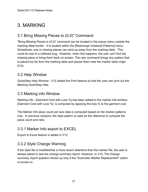# <span id="page-20-0"></span>3. MARKING

## <span id="page-20-1"></span>3.1 Bring Missing Pieces to (0,0)" Command

"Bring Missing Pieces to (0,0)" command can be located in the popup menu outside the marking table border. It is located within the [Rearrange Unplaced Patterns] menu. Sometimes, one or missing pieces can wind up away from the marking table. This could be due to a software bug. However, when this happens, the user can't find the missing piece or bring them back on screen. The new command brings any pattern that is placed too far from the marking table and places them near the marker table origin  $(0,0)$ .

## <span id="page-20-2"></span>3.2 Help Window

QuickStep Help Window - V12 added the Print feature so that the user can print out the Marking QuickStep help.

## <span id="page-20-3"></span>3.3 Marking info Window

Marking info - [Garment Cost with Loss %] has been added to the marker info window. [Garment Cost with Loss %] is computed by applying the loss % to the garment cost.

The Marker info piece count per size data is computed based on the marker patterns only. In previous versions, the style pattern is used as the reference to compute the piece count and ratio.

## <span id="page-20-4"></span>3.3.1 Marker Info export to EXCEL

<span id="page-20-5"></span>Export to Excel feature is added in V12.

## 3.3.2 Style Change Warning

If the style file is modified/has a more recent date/time than the marker file, the user is always asked to see the change summary report. However, in V12, The change summary report question shows up only if the "Automatic Marker Replacement" option is turned on.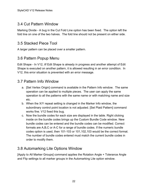## <span id="page-21-0"></span>3.4 Cut Pattern Window

Marking Divide - A bug in the Cut Fold Line option has been fixed. The option left the fold line on one of the two halves. The fold line should not be present on either side.

## <span id="page-21-1"></span>3.5 Stacked Piece Tool

<span id="page-21-2"></span>A larger pattern can be placed over a smaller pattern.

## 3.6 Pattern Popup Menu

Edit Shape - In V12, iIf Edit Shape is already in progress and another attempt of Edit Shape is executed on another pattern, it is allowed resulting in an error condition. In V12, this error situation is prevented with an error message.

## <span id="page-21-3"></span>3.7 Pattern Info Window

- a. [Set Vertex Origin] command is available in the Pattern Info window. The same operation can be applied to multiple pieces. The user can apply the same operation to all the patterns with the same name or with matching name and size etc.
- b. When the X/Y repeat setting is changed in the Marker Info window, the subordinary control point location is not adjusted. [Set Plaid Pattern] command works fine. V12 fixed this bug.
- c. Now the bundle codes for each size are displayed in the table. Right clicking inside on the bundle codes brings up the Custom Bundle Code window. New bundle codes can be entered and the bundle codes can be modified. Correct formats are A,B,C or A-C for a range of bundle codes. If the numeric bundle codes option is used, then 101-103 or 101,102,103 would be the correct format. The number of bundle codes entered must match the current bundle codes in order to modify them.

## <span id="page-21-4"></span>3.8 Automarking Lite Options Window

[Apply to All Marker Groups] command applies the Rotation Angle + Tolerance Angle and Flip settings to all marker groups in the Automarking Lite option window.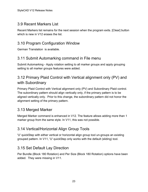## <span id="page-22-0"></span>3.9 Recent Markers List

Recent Markers list remains for the next session when the program exits. [Clear] button which is new in V12 erases the list.

## <span id="page-22-1"></span>3.10 Program Configuration Window

<span id="page-22-2"></span>German Translation is available.

## 3.11 Submit Automarking command in File menu

Submit Automarking - Apply rotation setting to all marker groups and apply grouping setting to all marker groups features were added.

## <span id="page-22-3"></span>3.12 Primary Plaid Control with Vertical alignment only (PV) and with Subordinary

Primary Plaid Control with Vertical alignment only (PV) and Subordinary Plaid control. The subordinary pattern should align vertically only, if the primary pattern is to be aligned vertically only. Prior to this change, the subordinary pattern did not honor the alignment setting of the primary pattern.

## <span id="page-22-4"></span>3.13 Merged Marker

Merged Marker command is enhanced in V12. The feature allows adding more than 1 marker group from the same style. In V11, this was not possible.

## <span id="page-22-5"></span>3.14 Vertical/Horizontal Align Group Tools

'U' quickStep with either vertical or horizontal align group tool un-groups an existing grouped pattern. In V11, 'U' quickStep only works with the default (sliding) tool.

## <span id="page-22-6"></span>3.15 Set Default Lay Direction

Per Bundle (Block 180 Rotation) and Per Size (Block 180 Rotation) options have been added. They were missing in V11.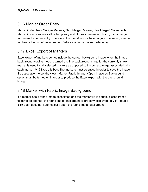## <span id="page-23-0"></span>3.16 Marker Order Entry

Marker Order, New Multiple Markers, New Merged Marker, New Merged Marker with Marker Groups features allow temporary unit of measurement (inch, cm, mm) change for the marker order entry. Therefore, the user does not have to go to the settings menu to change the unit of measurement before starting a marker order entry.

## <span id="page-23-1"></span>3.17 Excel Export of Markers

Excel export of markers do not include the correct background image when the image background viewing mode is turned on. The background image for the currently shown marker is used for all selected markers as opposed to the correct image associated with each marker. V12 fixes this bug. The markers must be saved in order to save the image file association. Also, the view->Marker Fabric Image->Open Image as Background option must be turned on in order to produce the Excel export with the background image.

## <span id="page-23-2"></span>3.18 Marker with Fabric Image Background

If a marker has a fabric image associated and the marker file is double clicked from a folder to be opened, the fabric image background is properly displayed. In V11, double click open does not automatically open the fabric image background.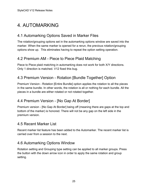# <span id="page-24-0"></span>4. AUTOMARKING

## <span id="page-24-1"></span>4.1 Automarking Options Saved in Marker Files

The rotation/grouping options set in the automarking options window are saved into the marker. When the same marker is opened for a rerun, the previous rotation/grouping options show up. This eliminates having to repeat the option setting operation.

## <span id="page-24-2"></span>4.2 Premium AM - Piece to Piece Plaid Matching

Piece to Piece plaid matching in automarking does not work for both X/Y directions. Only 1 direction is matched. V12 fixed this bug.

## <span id="page-24-3"></span>4.3 Premium Version - Rotation [Bundle Together] Option

Premium Version - Rotation [Entire Bundle] option applies the rotation to all the pieces in the same bundle. In other words, the rotation is all or nothing for each bundle. All the pieces in a bundle are either rotated or not rotated together.

## <span id="page-24-4"></span>4.4 Premium Version - [No Gap At Border]

Premium version - [No Gap At Border] being off (meaning there are gaps at the top and bottom of the marker) is honored. There will not be any gap on the left side in the premium version.

## <span id="page-24-5"></span>4.5 Recent Marker List

Recent marker list feature has been added to the Automarker. The recent marker list is carried over from a session to the next.

## <span id="page-24-6"></span>4.6 Automarking Options Window

Rotation setting and Grouping type setting can be applied to all marker groups. Press the button with the down arrow icon in order to apply the same rotation and group setting.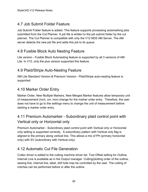## <span id="page-25-0"></span>4.7 Job Submit Folder Feature

Job Submit Folder feature is added. This feature supports processing automarking jobs submitted from the Cut Planner. A job file is written to the job submit folder by the cut planner. The Cut Planner is compatible with only the V12 NDS AM Server. The AM server detects the new job file and adds this job to its queue.

## <span id="page-25-1"></span>4.8 Fusible Block Auto Nesting Feature

Lite version - Fusible Block Autonesting feature is supported by all 3 versions of AM Lite. In V12, only the plus version supported this feature.

## <span id="page-25-2"></span>4.9 Plaid/Stripe Auto-Nesting Feature

AM Lite Standard Version & Premium Version - Plaid/Stripe auto-nesting feature is supported.

## <span id="page-25-3"></span>4.10 Marker Order Entry

Marker Order, New Multiple Markers, New Merged Marker features allow temporary unit of measurement (inch, cm, mm) change for the marker order entry. Therefore, the user does not have to go to the settings menu to change the unit of measurement before starting a marker order entry.

## <span id="page-25-4"></span>4.11 Premium Automarker - Subordinary plaid control point with Vertical only or Horizontal only

Premium Automarker - Subordinary plaid control point with Vertical only or Horizontal only setting is supported correctly. A subordinary pattern with Vertical only flag is aligned to the primary along vertical line. This allows a mix of PH (primary horizontal only) with SV (subordinary with Vertical only).

## <span id="page-25-5"></span>4.12 Automatic Cut File Generation

Cuttec driver is added to the cutting machine driver list. Tool Offset setting for Outline, Internal Line is available as in the Output manager. Cutting/plotting order of the outline, sewing line, internal line, label, drill hole may be controlled by the user. The cutting of notches can be performed before or after the outline.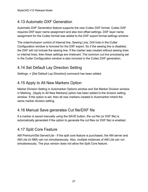## <span id="page-26-0"></span>4.13 Automatic DXF Generation

Automatic DXF Generation feature supports the new Cuttec DXF format. Cuttec DXF requires DXF layer name assignment and also tool offset settings. DXF layer name assignment for the Cuttec format was added to the DXF export format settings window.

The order/inclusion control of Internal line, Sewing Line, Drill hole in the Cutter Configuration window is honored for the DXF export. So if the sewing line is disabled, the DXF will not include the sewing line. If the marker was created without sewing lines or internal lines, then these settings are irrelevant. The common cut line processing set in the Cutter Configuration window is also honored in the Cuttec DXF generation.

## <span id="page-26-1"></span>4.14 Set Default Lay Direction Setting

Settings -> [Set Default Lay Direction] command has been added.

## <span id="page-26-2"></span>4.15 Apply to All New Markers Option

Marker Division Setting in Automarker Options window and Set Marker Division window in Marking - [Apply to All New Markers] option has been added to the division setting window. If the option is set, then all new markers created in Automarker inherit the same marker division setting.

## <span id="page-26-3"></span>4.16 Manual Save generates Cut file/DXF file

If a marker is saved manually using the SAVE button, the cut file (or DXF file) is automatically generated if the option to generate the cut files (or DXF file) is enabled.

## <span id="page-26-4"></span>4.17 Split Core Feature

AM Premium/Std Server/Lite - If the split core feature is purchased, the AM server and AM Lite (in MM) can run simultaneously. Also, multiple instances of AM Lite can run simultaneously. The plus version does not allow the Split Core feature.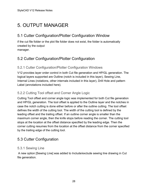# <span id="page-27-0"></span>5. OUTPUT MANAGER

## <span id="page-27-1"></span>5.1 Cutter Configuration/Plotter Configuration Window

if the cut file folder or the plot file folder does not exist, the folder is automatically created by the output

<span id="page-27-2"></span>manager.

## 5.2 Cutter Configuration/Plotter Configuration

## <span id="page-27-3"></span>5.2.1 Cutter Configuration/Plotter Configuration Windows

V12 provides layer order control in both Cut file generation and HP/GL generation. The logical layers supported are Outline (notch is included in this layer), Sewing Line, Internal Lines (notations, other internals included in this layer), Drill Hole and pattern Label (annotations included here).

## <span id="page-27-4"></span>5.2.2 Cutting Tool offset and Corner Angle Logic

Cutting Tool offset and corner angle logic was implemented for both Cut file generation and HP/GL generation. The tool offset is applied to the Outline layer and the notches in case the notch cutting is done either before or after the outline cutting. The tool offset defines the width of the cutting tool. The width of the cutting tool is defined by the leading offset and the trailing offset. If an outline corner angle is smaller than the maximum corner angle, then the knife stops before reading the corner. The cutting tool stops at the location at the offset distance specified by the leading edge. Then the corner cutting resumes from the location at the offset distance from the corner specified by the trailing edge of the cutting tool.

## <span id="page-27-5"></span>5.3 Cutter Configuration

#### <span id="page-27-6"></span>5.3.1 Sewing Line

 A new option [Sewing Line] was added to Include/exclude sewing line drawing in Cut file generation.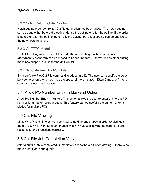#### <span id="page-28-0"></span>5.3.2 Notch Cutting Order Control

Notch cutting order control for Cut file generation has been added. The notch cutting can be done either before the outline, during the outline or after the outline. If the order is before or after the outline, potentially the cutting tool offset setting can be applied to the notch cutting action.

#### <span id="page-28-1"></span>5.3.3 CUTTEC Model

CUTTEC cutting machine model added. The new cutting machine model uses M43\*XnnnnYnnnn\* format as opposed to XnnnnYnnnnM43\* format which other cutting machines support. M43 is for the drill tool #1

#### <span id="page-28-2"></span>5.3.4 Simulate View Plot/Cut File

Simulate View Plot/Cut File command is added in V12. The user can specify the delay between elements which controls the speed of the simulation. [Stop Simulation] menu command stops the simulation.

## <span id="page-28-3"></span>5.4 [Allow PO Number Entry in Markers] Option

Allow PO Number Entry in Markers This option allows the user to enter a different PO number for a marker being plotted. This feature can be useful if the same marker is plotted for multiple POs.

## <span id="page-28-4"></span>5.5 Cut File Viewing

M43, M44, M45 drill holes are displayed using different shapes in order to distinguish them. Also, M43, M44, M45 commands with X,Y values following the command are recognized and processed correctly.

## <span id="page-28-5"></span>5.6 Cut File Job Completion Viewing

After a cut file job is completed, immediately opens the cut file for viewing, if there is no more output job in the queue.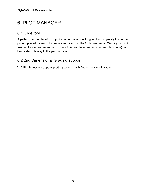## <span id="page-29-0"></span>6. PLOT MANAGER

## <span id="page-29-1"></span>6.1 Slide tool

A pattern can be placed on top of another pattern as long as it is completely inside the pattern placed pattern. This feature requires that the Option->Overlap Warning is on. A fusible block arrangement (a number of pieces placed within a rectangular shape) can be created this way in the plot manager.

## <span id="page-29-2"></span>6.2 2nd Dimensional Grading support

V12 Plot Manager supports plotting patterns with 2nd dimensional grading.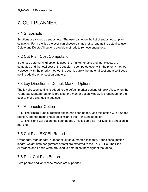# <span id="page-30-0"></span>7. CUT PLANNER

## <span id="page-30-1"></span>7.1 Snapshots

Solutions are stored as snapshots. The user can open the list of snapshot cut plan solutions. Form the list, the user can choose a snapshot to load as the actual solution. Delete and Delete All buttons provide methods to remove snapshots.

## <span id="page-30-2"></span>7.2 Cut Plan Cost Computation

If the [use automarking] option is used, the marker lengths and fabric costs are computed and the total cost of the cut plan is computed even with the priority method. However, with the priority method, the cost is purely the material cost and also it does not include the other cost parameters.

## <span id="page-30-3"></span>7.3 Lay Direction in Default Marker Options

The lay direction setting is added to the default marker options window. Also, when the "Generate Markers" button is pressed, the marker option window is brought up for the user to make changes in settings.

## <span id="page-30-4"></span>7.4 Autonester Option

 1. The [Entire Bundle] rotation option has been added. Use this option with 180 deg rotation, and the result should be similar to the [Per Bundle] option.

 2. The [Per Size] option has been added .This is same as [Per Size] lay direction in marking.

## <span id="page-30-5"></span>7.5 Cut Plan EXCEL Report

Order data, marker data, number of lay data, marker cost data, Fabric consumption length, weight data per garment or total are exported to the EXCEL file. The Side Allowance and Fabric width are used to determine the weight of the fabric.

## <span id="page-30-6"></span>7.6 Print Cut Plan Button

Both portrait and landscape modes are supported.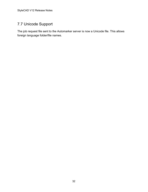## <span id="page-31-0"></span>7.7 Unicode Support

The job request file sent to the Automarker server is now a Unicode file. This allows foreign language folder/file names.